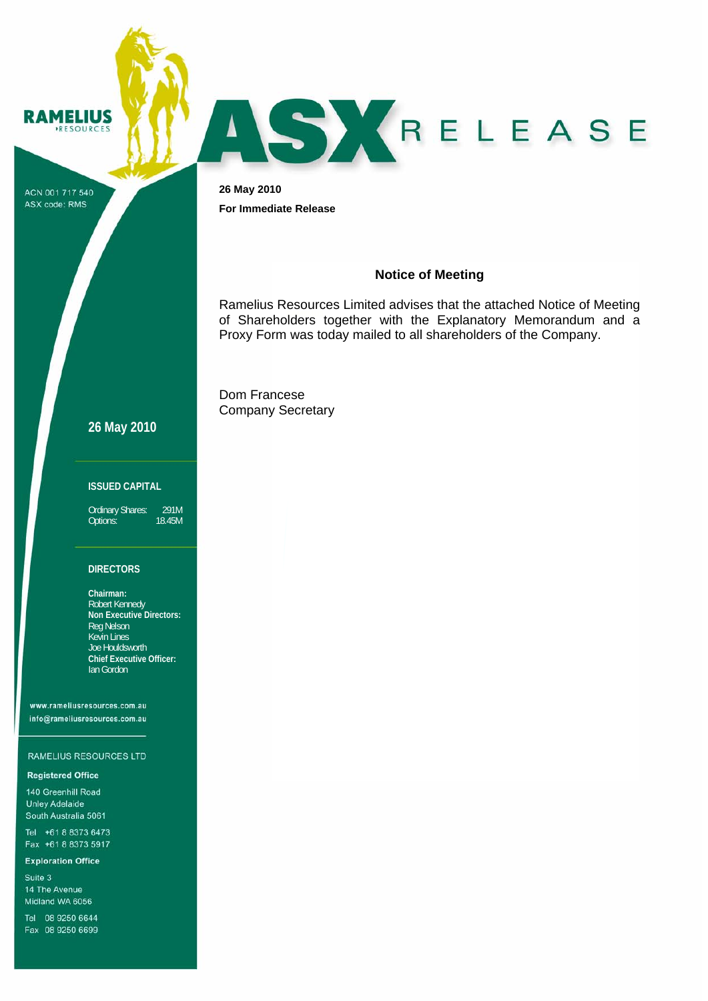**RAMELIUS RESOURCES** 



ACN 001 717 540 ASX code: RMS

**26 May 2010 For Immediate Release** 

#### **Notice of Meeting**

Ramelius Resources Limited advises that the attached Notice of Meeting of Shareholders together with the Explanatory Memorandum and a Proxy Form was today mailed to all shareholders of the Company.

Dom Francese Company Secretary

## **26 May 2010**

#### **ISSUED CAPITAL**

Ordinary Shares: 291M<br>Options: 18.45M Options:

#### **DIRECTORS**

**Chairman:**  Robert Kennedy **Non Executive Directors:**  Reg Nelson Kevin Lines Joe Houldsworth **Chief Executive Officer:**  Ian Gordon

www.rameliusresources.com.au info@rameliusresources.com.au

#### RAMELIUS RESOURCES LTD

#### **Registered Office**

140 Greenhill Road **Unley Adelaide** South Australia 5061

Tel +61 8 8373 6473 Fax +61 8 8373 5917

#### **Exploration Office**

Suite 3 14 The Avenue Midland WA 6056

Tel 08 9250 6644 Fax 08 9250 6699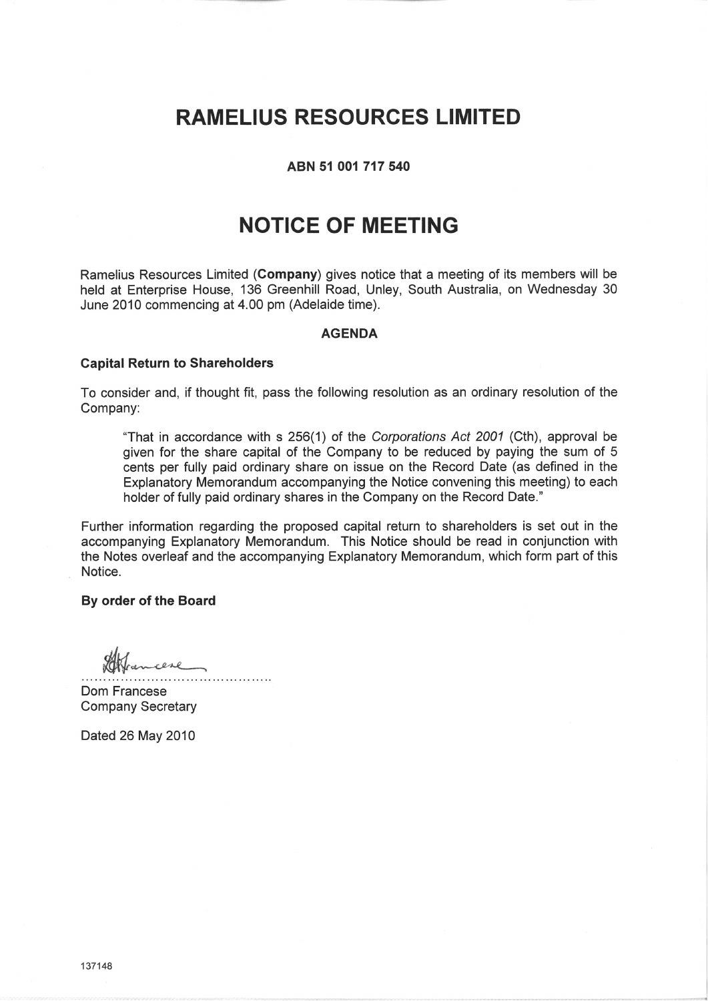# **RAMELIUS RESOURCES LIMITED**

### ABN 51 001 717 540

# **NOTICE OF MEETING**

Ramelius Resources Limited (Company) gives notice that a meeting of its members will be held at Enterprise House, 136 Greenhill Road, Unley, South Australia, on Wednesday 30 June 2010 commencing at 4.00 pm (Adelaide time).

#### **AGENDA**

#### **Capital Return to Shareholders**

To consider and, if thought fit, pass the following resolution as an ordinary resolution of the Company:

"That in accordance with s 256(1) of the Corporations Act 2001 (Cth), approval be given for the share capital of the Company to be reduced by paying the sum of 5 cents per fully paid ordinary share on issue on the Record Date (as defined in the Explanatory Memorandum accompanying the Notice convening this meeting) to each holder of fully paid ordinary shares in the Company on the Record Date."

Further information regarding the proposed capital return to shareholders is set out in the accompanying Explanatory Memorandum. This Notice should be read in conjunction with the Notes overleaf and the accompanying Explanatory Memorandum, which form part of this Notice.

#### By order of the Board

Dom Francese **Company Secretary** 

Dated 26 May 2010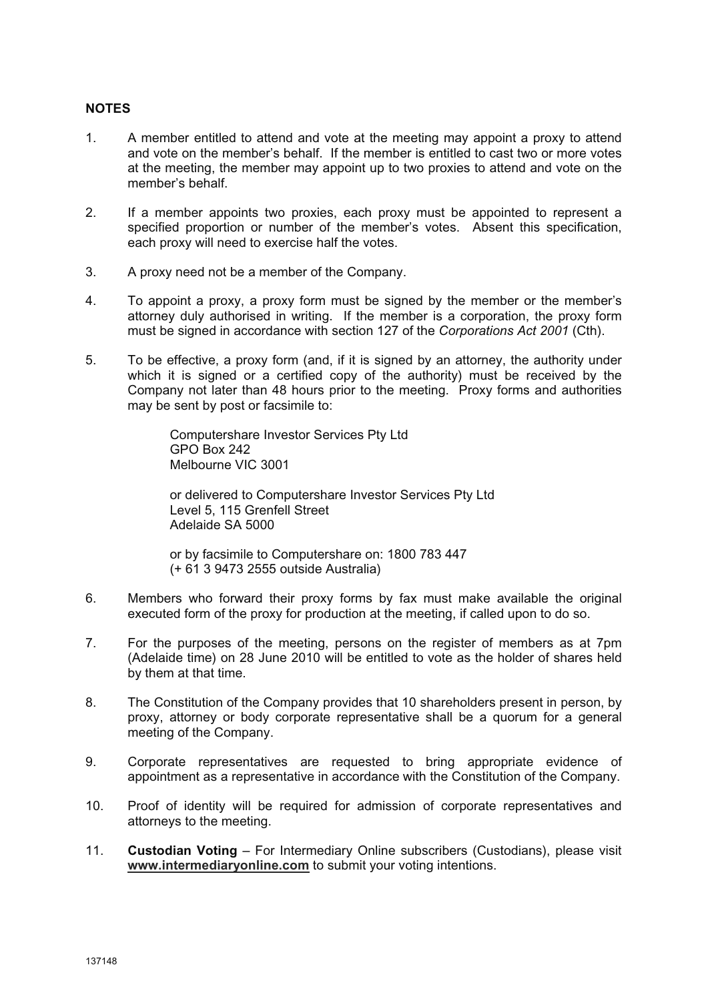## **NOTES**

- 1. A member entitled to attend and vote at the meeting may appoint a proxy to attend and vote on the member's behalf. If the member is entitled to cast two or more votes at the meeting, the member may appoint up to two proxies to attend and vote on the member's behalf.
- 2. If a member appoints two proxies, each proxy must be appointed to represent a specified proportion or number of the member's votes. Absent this specification, each proxy will need to exercise half the votes.
- 3. A proxy need not be a member of the Company.
- 4. To appoint a proxy, a proxy form must be signed by the member or the member's attorney duly authorised in writing. If the member is a corporation, the proxy form must be signed in accordance with section 127 of the *Corporations Act 2001* (Cth).
- 5. To be effective, a proxy form (and, if it is signed by an attorney, the authority under which it is signed or a certified copy of the authority) must be received by the Company not later than 48 hours prior to the meeting. Proxy forms and authorities may be sent by post or facsimile to:

Computershare Investor Services Pty Ltd GPO Box 242 Melbourne VIC 3001

or delivered to Computershare Investor Services Pty Ltd Level 5, 115 Grenfell Street Adelaide SA 5000

or by facsimile to Computershare on: 1800 783 447 (+ 61 3 9473 2555 outside Australia)

- 6. Members who forward their proxy forms by fax must make available the original executed form of the proxy for production at the meeting, if called upon to do so.
- 7. For the purposes of the meeting, persons on the register of members as at 7pm (Adelaide time) on 28 June 2010 will be entitled to vote as the holder of shares held by them at that time.
- 8. The Constitution of the Company provides that 10 shareholders present in person, by proxy, attorney or body corporate representative shall be a quorum for a general meeting of the Company.
- 9. Corporate representatives are requested to bring appropriate evidence of appointment as a representative in accordance with the Constitution of the Company.
- 10. Proof of identity will be required for admission of corporate representatives and attorneys to the meeting.
- 11. **Custodian Voting** For Intermediary Online subscribers (Custodians), please visit **www.intermediaryonline.com** to submit your voting intentions.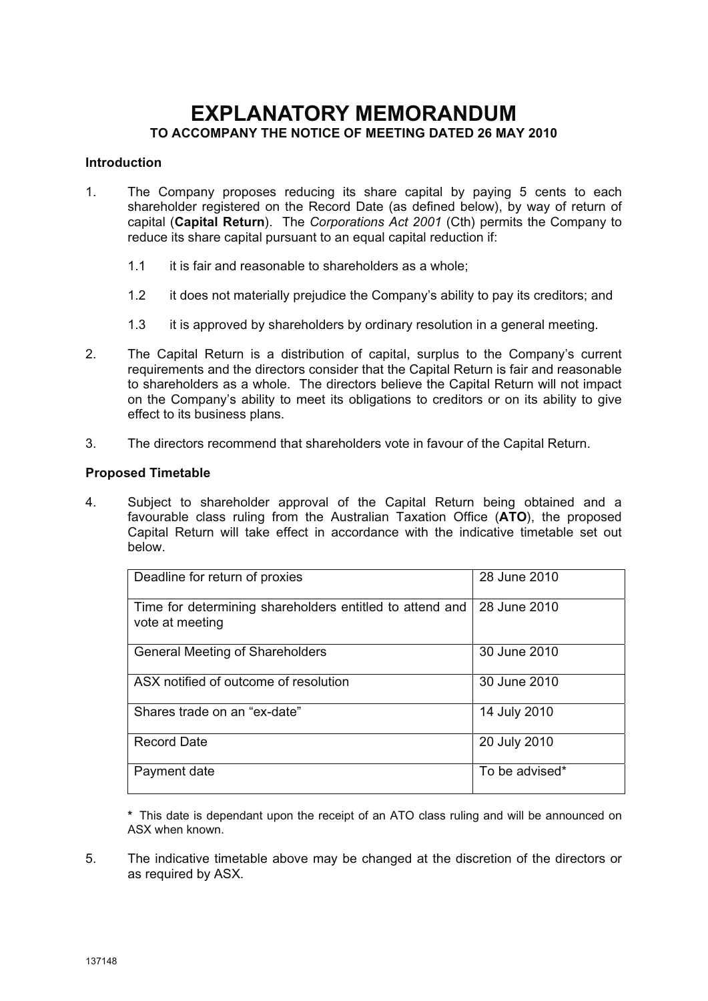# **EXPLANATORY MEMORANDUM TO ACCOMPANY THE NOTICE OF MEETING DATED 26 MAY 2010**

#### **Introduction**

- 1. The Company proposes reducing its share capital by paying 5 cents to each shareholder registered on the Record Date (as defined below), by way of return of capital (**Capital Return**). The *Corporations Act 2001* (Cth) permits the Company to reduce its share capital pursuant to an equal capital reduction if:
	- 1.1 it is fair and reasonable to shareholders as a whole;
	- 1.2 it does not materially prejudice the Company's ability to pay its creditors; and
	- 1.3 it is approved by shareholders by ordinary resolution in a general meeting.
- 2. The Capital Return is a distribution of capital, surplus to the Company's current requirements and the directors consider that the Capital Return is fair and reasonable to shareholders as a whole. The directors believe the Capital Return will not impact on the Company's ability to meet its obligations to creditors or on its ability to give effect to its business plans.
- 3. The directors recommend that shareholders vote in favour of the Capital Return.

#### **Proposed Timetable**

4. Subject to shareholder approval of the Capital Return being obtained and a favourable class ruling from the Australian Taxation Office (**ATO**), the proposed Capital Return will take effect in accordance with the indicative timetable set out below.

| Deadline for return of proxies                                              | 28 June 2010   |
|-----------------------------------------------------------------------------|----------------|
| Time for determining shareholders entitled to attend and<br>vote at meeting | 28 June 2010   |
| <b>General Meeting of Shareholders</b>                                      | 30 June 2010   |
| ASX notified of outcome of resolution                                       | 30 June 2010   |
| Shares trade on an "ex-date"                                                | 14 July 2010   |
| <b>Record Date</b>                                                          | 20 July 2010   |
| Payment date                                                                | To be advised* |

**\*** This date is dependant upon the receipt of an ATO class ruling and will be announced on ASX when known.

5. The indicative timetable above may be changed at the discretion of the directors or as required by ASX.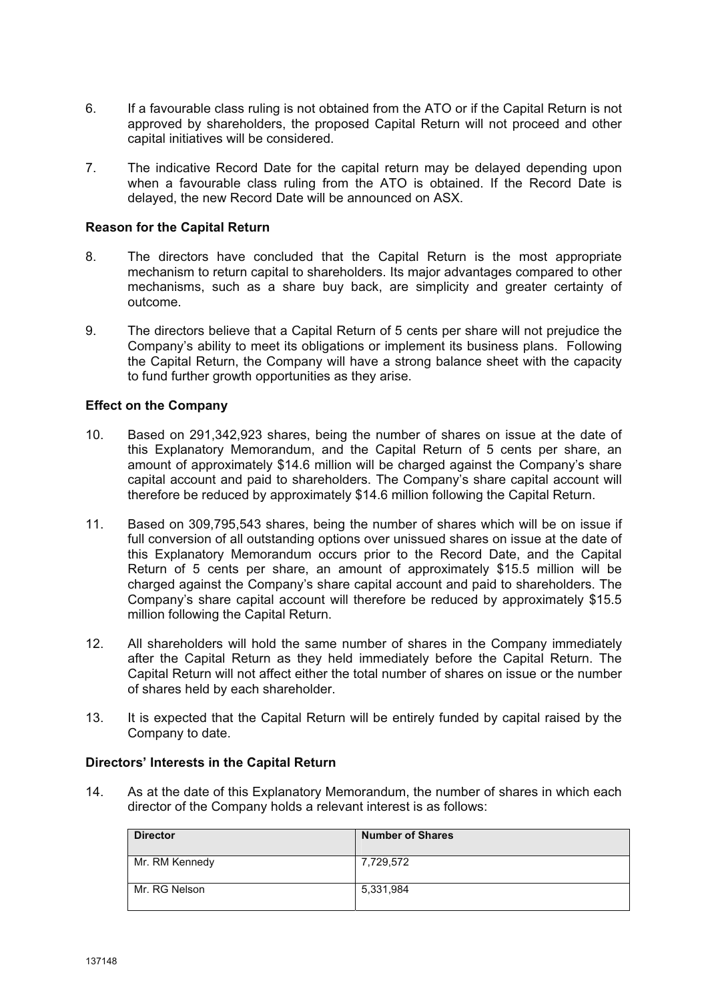- 6. If a favourable class ruling is not obtained from the ATO or if the Capital Return is not approved by shareholders, the proposed Capital Return will not proceed and other capital initiatives will be considered.
- 7. The indicative Record Date for the capital return may be delayed depending upon when a favourable class ruling from the ATO is obtained. If the Record Date is delayed, the new Record Date will be announced on ASX.

### **Reason for the Capital Return**

- 8. The directors have concluded that the Capital Return is the most appropriate mechanism to return capital to shareholders. Its major advantages compared to other mechanisms, such as a share buy back, are simplicity and greater certainty of outcome.
- 9. The directors believe that a Capital Return of 5 cents per share will not prejudice the Company's ability to meet its obligations or implement its business plans. Following the Capital Return, the Company will have a strong balance sheet with the capacity to fund further growth opportunities as they arise.

#### **Effect on the Company**

- 10. Based on 291,342,923 shares, being the number of shares on issue at the date of this Explanatory Memorandum, and the Capital Return of 5 cents per share, an amount of approximately \$14.6 million will be charged against the Company's share capital account and paid to shareholders. The Company's share capital account will therefore be reduced by approximately \$14.6 million following the Capital Return.
- 11. Based on 309,795,543 shares, being the number of shares which will be on issue if full conversion of all outstanding options over unissued shares on issue at the date of this Explanatory Memorandum occurs prior to the Record Date, and the Capital Return of 5 cents per share, an amount of approximately \$15.5 million will be charged against the Company's share capital account and paid to shareholders. The Company's share capital account will therefore be reduced by approximately \$15.5 million following the Capital Return.
- 12. All shareholders will hold the same number of shares in the Company immediately after the Capital Return as they held immediately before the Capital Return. The Capital Return will not affect either the total number of shares on issue or the number of shares held by each shareholder.
- 13. It is expected that the Capital Return will be entirely funded by capital raised by the Company to date.

#### **Directors' Interests in the Capital Return**

14. As at the date of this Explanatory Memorandum, the number of shares in which each director of the Company holds a relevant interest is as follows:

| <b>Director</b> | <b>Number of Shares</b> |
|-----------------|-------------------------|
| Mr. RM Kennedy  | 7,729,572               |
| Mr. RG Nelson   | 5,331,984               |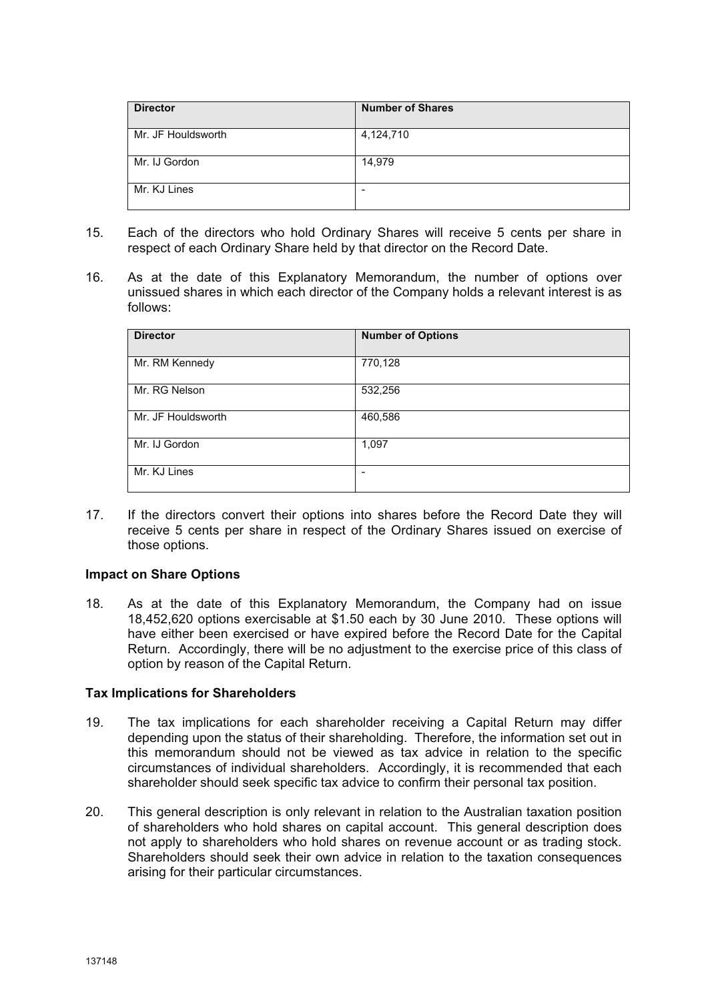| <b>Director</b>    | <b>Number of Shares</b> |
|--------------------|-------------------------|
| Mr. JF Houldsworth | 4,124,710               |
| Mr. IJ Gordon      | 14,979                  |
| Mr. KJ Lines       |                         |

- 15. Each of the directors who hold Ordinary Shares will receive 5 cents per share in respect of each Ordinary Share held by that director on the Record Date.
- 16. As at the date of this Explanatory Memorandum, the number of options over unissued shares in which each director of the Company holds a relevant interest is as follows:

| <b>Director</b>    | <b>Number of Options</b> |
|--------------------|--------------------------|
| Mr. RM Kennedy     | 770,128                  |
| Mr. RG Nelson      | 532,256                  |
| Mr. JF Houldsworth | 460,586                  |
| Mr. IJ Gordon      | 1,097                    |
| Mr. KJ Lines       |                          |

17. If the directors convert their options into shares before the Record Date they will receive 5 cents per share in respect of the Ordinary Shares issued on exercise of those options.

## **Impact on Share Options**

18. As at the date of this Explanatory Memorandum, the Company had on issue 18,452,620 options exercisable at \$1.50 each by 30 June 2010. These options will have either been exercised or have expired before the Record Date for the Capital Return. Accordingly, there will be no adjustment to the exercise price of this class of option by reason of the Capital Return.

#### **Tax Implications for Shareholders**

- 19. The tax implications for each shareholder receiving a Capital Return may differ depending upon the status of their shareholding. Therefore, the information set out in this memorandum should not be viewed as tax advice in relation to the specific circumstances of individual shareholders. Accordingly, it is recommended that each shareholder should seek specific tax advice to confirm their personal tax position.
- 20. This general description is only relevant in relation to the Australian taxation position of shareholders who hold shares on capital account. This general description does not apply to shareholders who hold shares on revenue account or as trading stock. Shareholders should seek their own advice in relation to the taxation consequences arising for their particular circumstances.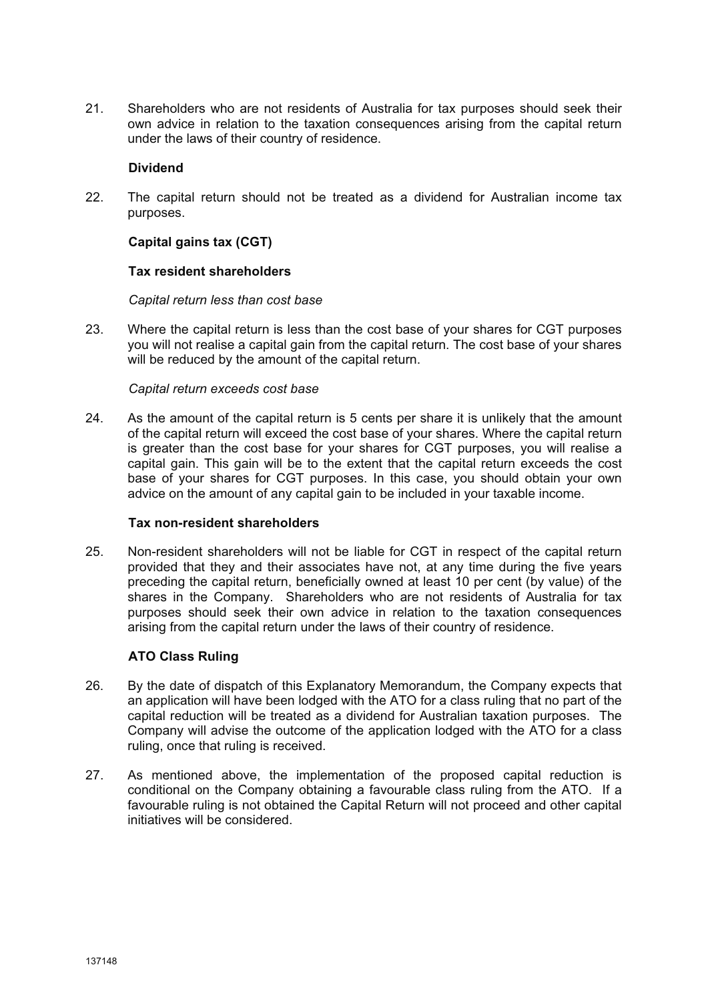21. Shareholders who are not residents of Australia for tax purposes should seek their own advice in relation to the taxation consequences arising from the capital return under the laws of their country of residence.

#### **Dividend**

22. The capital return should not be treated as a dividend for Australian income tax purposes.

## **Capital gains tax (CGT)**

#### **Tax resident shareholders**

#### *Capital return less than cost base*

23. Where the capital return is less than the cost base of your shares for CGT purposes you will not realise a capital gain from the capital return. The cost base of your shares will be reduced by the amount of the capital return.

#### *Capital return exceeds cost base*

24. As the amount of the capital return is 5 cents per share it is unlikely that the amount of the capital return will exceed the cost base of your shares. Where the capital return is greater than the cost base for your shares for CGT purposes, you will realise a capital gain. This gain will be to the extent that the capital return exceeds the cost base of your shares for CGT purposes. In this case, you should obtain your own advice on the amount of any capital gain to be included in your taxable income.

#### **Tax non-resident shareholders**

25. Non-resident shareholders will not be liable for CGT in respect of the capital return provided that they and their associates have not, at any time during the five years preceding the capital return, beneficially owned at least 10 per cent (by value) of the shares in the Company. Shareholders who are not residents of Australia for tax purposes should seek their own advice in relation to the taxation consequences arising from the capital return under the laws of their country of residence.

## **ATO Class Ruling**

- 26. By the date of dispatch of this Explanatory Memorandum, the Company expects that an application will have been lodged with the ATO for a class ruling that no part of the capital reduction will be treated as a dividend for Australian taxation purposes. The Company will advise the outcome of the application lodged with the ATO for a class ruling, once that ruling is received.
- 27. As mentioned above, the implementation of the proposed capital reduction is conditional on the Company obtaining a favourable class ruling from the ATO. If a favourable ruling is not obtained the Capital Return will not proceed and other capital initiatives will be considered.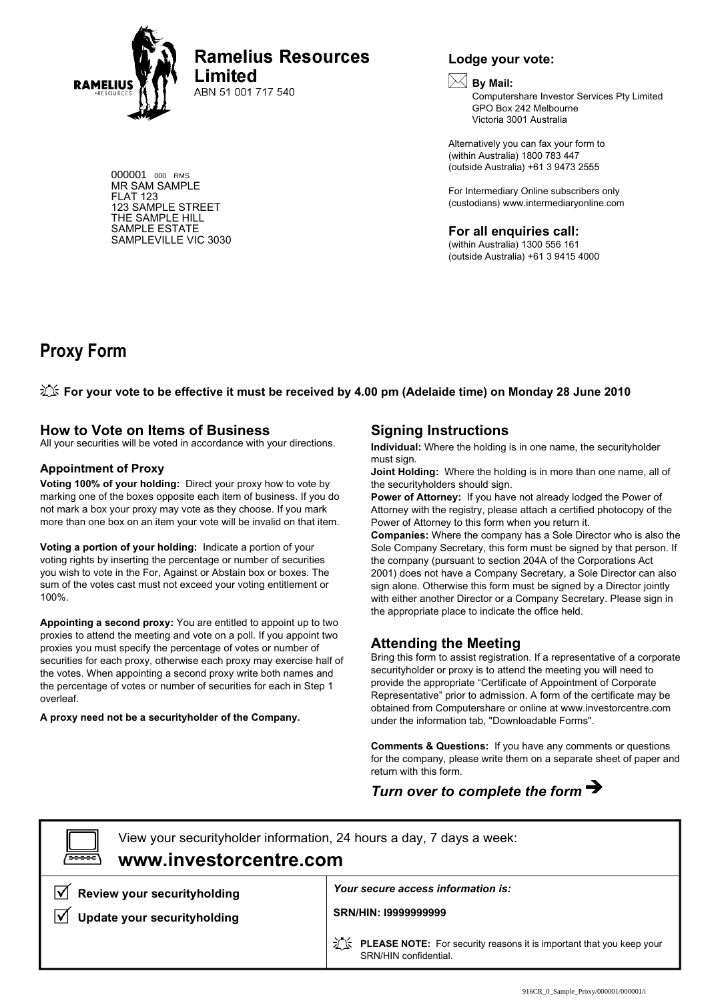

**Ramelius Resources Limited** 

ABN 51 001 717 540

000001 <sup>000</sup> RMS MR SAM SAMPLE FLAT 123 123 SAMPLE STREET THE SAMPLE HILL SAMPLE ESTATE SAMPLEVILLE VIC 3030

## **Lodge your vote:**



Computershare Investor Services Pty Limited GPO Box 242 Melbourne Victoria 3001 Australia

Alternatively you can fax your form to (within Australia) 1800 783 447 (outside Australia) +61 3 9473 2555

For Intermediary Online subscribers only (custodians) www.intermediaryonline.com

**For all enquiries call:**

(within Australia) 1300 556 161 (outside Australia) +61 3 9415 4000

# **Proxy Form**

**For your vote to be effective it must be received by 4.00 pm (Adelaide time) on Monday 28 June 2010**

## **How to Vote on Items of Business**

All your securities will be voted in accordance with your directions.

#### **Appointment of Proxy**

**Voting 100% of your holding:** Direct your proxy how to vote by marking one of the boxes opposite each item of business. If you do not mark a box your proxy may vote as they choose. If you mark more than one box on an item your vote will be invalid on that item.

**Voting a portion of your holding:** Indicate a portion of your voting rights by inserting the percentage or number of securities you wish to vote in the For, Against or Abstain box or boxes. The sum of the votes cast must not exceed your voting entitlement or 100%.

**Appointing a second proxy:** You are entitled to appoint up to two proxies to attend the meeting and vote on a poll. If you appoint two proxies you must specify the percentage of votes or number of securities for each proxy, otherwise each proxy may exercise half of the votes. When appointing a second proxy write both names and the percentage of votes or number of securities for each in Step 1 overleaf.

**A proxy need not be a securityholder of the Company.**

## **Signing Instructions**

**Individual:** Where the holding is in one name, the securityholder must sign.

**Joint Holding:** Where the holding is in more than one name, all of the securityholders should sign.

**Power of Attorney:** If you have not already lodged the Power of Attorney with the registry, please attach a certified photocopy of the Power of Attorney to this form when you return it.

**Companies:** Where the company has a Sole Director who is also the Sole Company Secretary, this form must be signed by that person. If the company (pursuant to section 204A of the Corporations Act 2001) does not have a Company Secretary, a Sole Director can also sign alone. Otherwise this form must be signed by a Director jointly with either another Director or a Company Secretary. Please sign in the appropriate place to indicate the office held.

## **Attending the Meeting**

Bring this form to assist registration. If a representative of a corporate securityholder or proxy is to attend the meeting you will need to provide the appropriate "Certificate of Appointment of Corporate Representative" prior to admission. A form of the certificate may be obtained from Computershare or online at www.investorcentre.com under the information tab, "Downloadable Forms".

**Comments & Questions:** If you have any comments or questions for the company, please write them on a separate sheet of paper and return with this form.

# *Turn over to complete the form*

View your securityholder information, 24 hours a day, 7 days a week: **www.investorcentre.com** *Your secure access information is:* **Review your securityholding SRN/HIN: I9999999999**  $\overline{\vee}$ **Update your securityholding The PLEASE NOTE:** For security reasons it is important that you keep your SRN/HIN confidential.